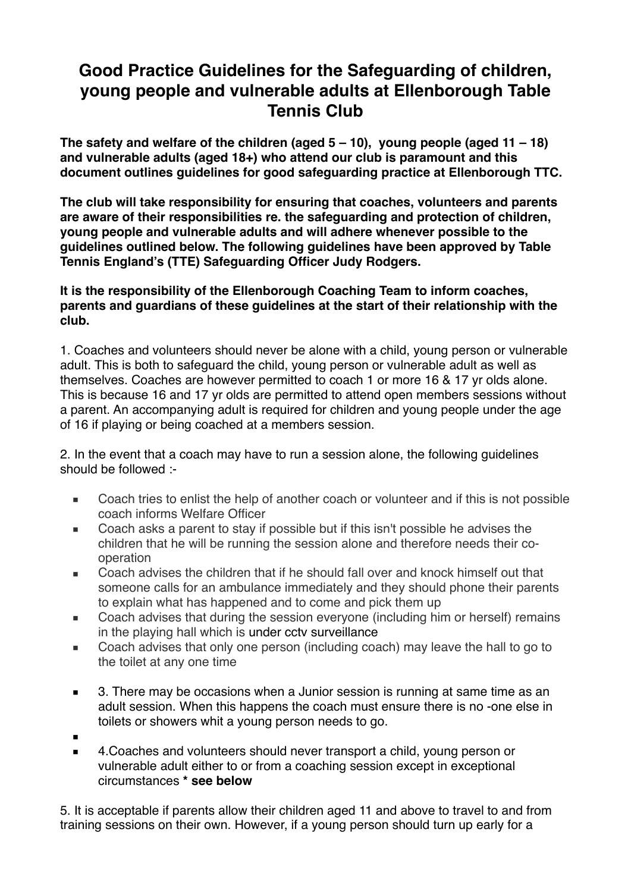## **Good Practice Guidelines for the Safeguarding of children, young people and vulnerable adults at Ellenborough Table Tennis Club**

**The safety and welfare of the children (aged 5 – 10), young people (aged 11 – 18) and vulnerable adults (aged 18+) who attend our club is paramount and this document outlines guidelines for good safeguarding practice at Ellenborough TTC.**

**The club will take responsibility for ensuring that coaches, volunteers and parents are aware of their responsibilities re. the safeguarding and protection of children, young people and vulnerable adults and will adhere whenever possible to the guidelines outlined below. The following guidelines have been approved by Table Tennis England's (TTE) Safeguarding Officer Judy Rodgers.**

**It is the responsibility of the Ellenborough Coaching Team to inform coaches, parents and guardians of these guidelines at the start of their relationship with the club.**

1. Coaches and volunteers should never be alone with a child, young person or vulnerable adult. This is both to safeguard the child, young person or vulnerable adult as well as themselves. Coaches are however permitted to coach 1 or more 16 & 17 yr olds alone. This is because 16 and 17 yr olds are permitted to attend open members sessions without a parent. An accompanying adult is required for children and young people under the age of 16 if playing or being coached at a members session.

2. In the event that a coach may have to run a session alone, the following guidelines should be followed :-

- Coach tries to enlist the help of another coach or volunteer and if this is not possible coach informs Welfare Officer
- Coach asks a parent to stay if possible but if this isn't possible he advises the children that he will be running the session alone and therefore needs their cooperation
- Coach advises the children that if he should fall over and knock himself out that someone calls for an ambulance immediately and they should phone their parents to explain what has happened and to come and pick them up
- Coach advises that during the session everyone (including him or herself) remains in the playing hall which is under cctv surveillance
- Coach advises that only one person (including coach) may leave the hall to go to the toilet at any one time
- 3. There may be occasions when a Junior session is running at same time as an adult session. When this happens the coach must ensure there is no -one else in toilets or showers whit a young person needs to go.
- ▪
- 4. Coaches and volunteers should never transport a child, young person or vulnerable adult either to or from a coaching session except in exceptional circumstances **\* see below**

5. It is acceptable if parents allow their children aged 11 and above to travel to and from training sessions on their own. However, if a young person should turn up early for a